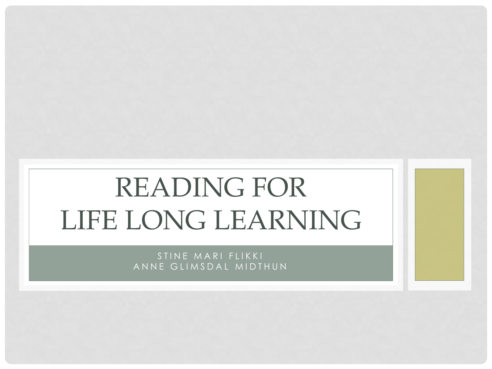# READING FOR LIFE LONG LEARNING

STINE MARI FLIKKI ANNE GLIMSDAL MIDTHUN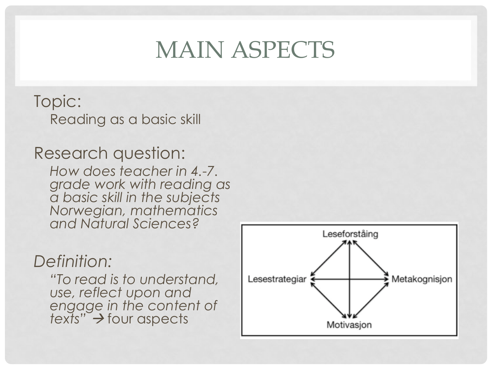#### MAIN ASPECTS

Topic: Reading as a basic skill

Research question:

*How does teacher in 4.-7. grade work with reading as a basic skill in the subjects Norwegian, mathematics and Natural Sciences?*

#### *Definition:*

*"To read is to understand, use, reflect upon and engage in the content of texts"*  four aspects

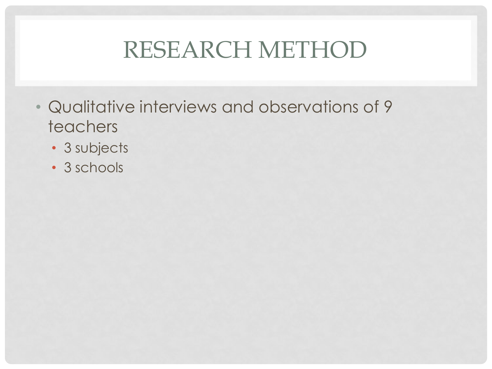#### RESEARCH METHOD

- Qualitative interviews and observations of 9 teachers
	- 3 subjects
	- 3 schools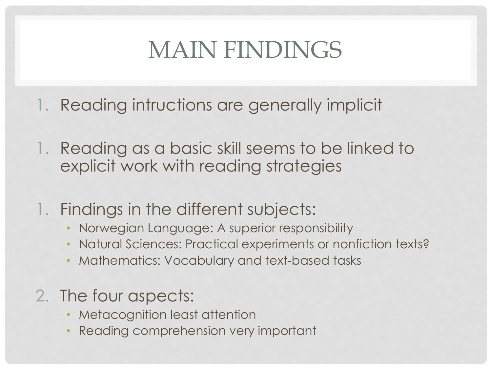### MAIN FINDINGS

- 1. Reading intructions are generally implicit
- 1. Reading as a basic skill seems to be linked to explicit work with reading strategies
- 1. Findings in the different subjects:
	- Norwegian Language: A superior responsibility
	- Natural Sciences: Practical experiments or nonfiction texts?
	- Mathematics: Vocabulary and text-based tasks
- 2. The four aspects:
	- **Metacognition least attention**
	- Reading comprehension very important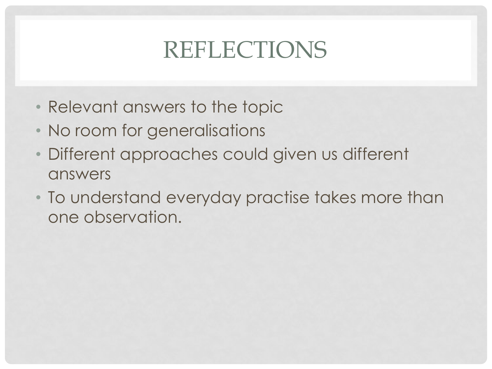# REFLECTIONS

- Relevant answers to the topic
- No room for generalisations
- Different approaches could given us different answers
- To understand everyday practise takes more than one observation.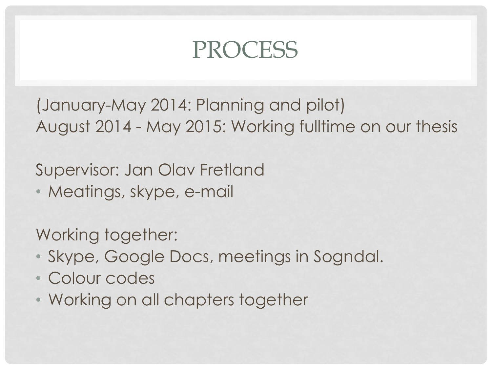#### PROCESS

(January-May 2014: Planning and pilot) August 2014 - May 2015: Working fulltime on our thesis

Supervisor: Jan Olav Fretland

• Meatings, skype, e-mail

Working together:

- Skype, Google Docs, meetings in Sogndal.
- Colour codes
- Working on all chapters together